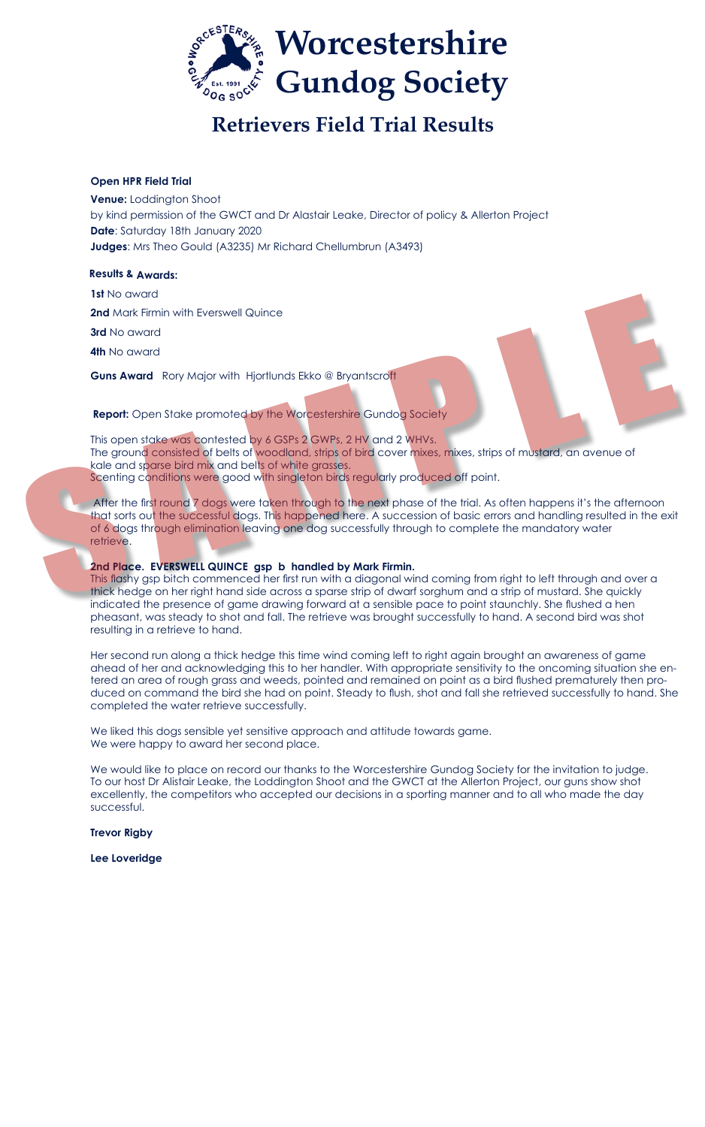

## **Retrievers Field Trial Results**

### **Open HPR Field Trial**

**Venue:** Loddington Shoot by kind permission of the GWCT and Dr Alastair Leake, Director of policy & Allerton Project **Date**: Saturday 18th January 2020 **Judges**: Mrs Theo Gould (A3235) Mr Richard Chellumbrun (A3493)

## **Results & Awards:**

**1st** No award

**2nd** Mark Firmin with Everswell Quince

**3rd** No award

**4th** No award

**Guns Award** Rory Major with Hjortlunds Ekko @ Bryantscroft

 After the first round 7 dogs were taken through to the next phase of the trial. As often happens it's the afternoon that sorts out the successful dogs. This happened here. A succession of basic errors and handling resulted in the exit of 6 dogs through elimination leaving one dog successfully through to complete the mandatory water retrieve. **Start Control in the Exercise Comments of the Control of the Control of the Control of the Control of the Control of the Control of the Control of the Control of the Control of the Control of the Control of the Control o** 

**Report:** Open Stake promoted by the Worcestershire Gundog Society

This open stake was contested by 6 GSPs 2 GWPs, 2 HV and 2 WHVs. The ground consisted of belts of woodland, strips of bird cover mixes, mixes, strips of mustard, an avenue of kale and sparse bird mix and belts of white grasses. Scenting conditions were good with singleton birds regularly produced off point.

## **2nd Place. EVERSWELL QUINCE gsp b handled by Mark Firmin.**

We would like to place on record our thanks to the Worcestershire Gundog Society for the invitation to judge. To our host Dr Alistair Leake, the Loddington Shoot and the GWCT at the Allerton Project, our guns show shot excellently, the competitors who accepted our decisions in a sporting manner and to all who made the day successful.

This flashy gsp bitch commenced her first run with a diagonal wind coming from right to left through and over a thick hedge on her right hand side across a sparse strip of dwarf sorghum and a strip of mustard. She quickly indicated the presence of game drawing forward at a sensible pace to point staunchly. She flushed a hen pheasant, was steady to shot and fall. The retrieve was brought successfully to hand. A second bird was shot resulting in a retrieve to hand.

Her second run along a thick hedge this time wind coming left to right again brought an awareness of game ahead of her and acknowledging this to her handler. With appropriate sensitivity to the oncoming situation she entered an area of rough grass and weeds, pointed and remained on point as a bird flushed prematurely then produced on command the bird she had on point. Steady to flush, shot and fall she retrieved successfully to hand. She completed the water retrieve successfully.

We liked this dogs sensible yet sensitive approach and attitude towards game. We were happy to award her second place.

**Trevor Rigby**

**Lee Loveridge**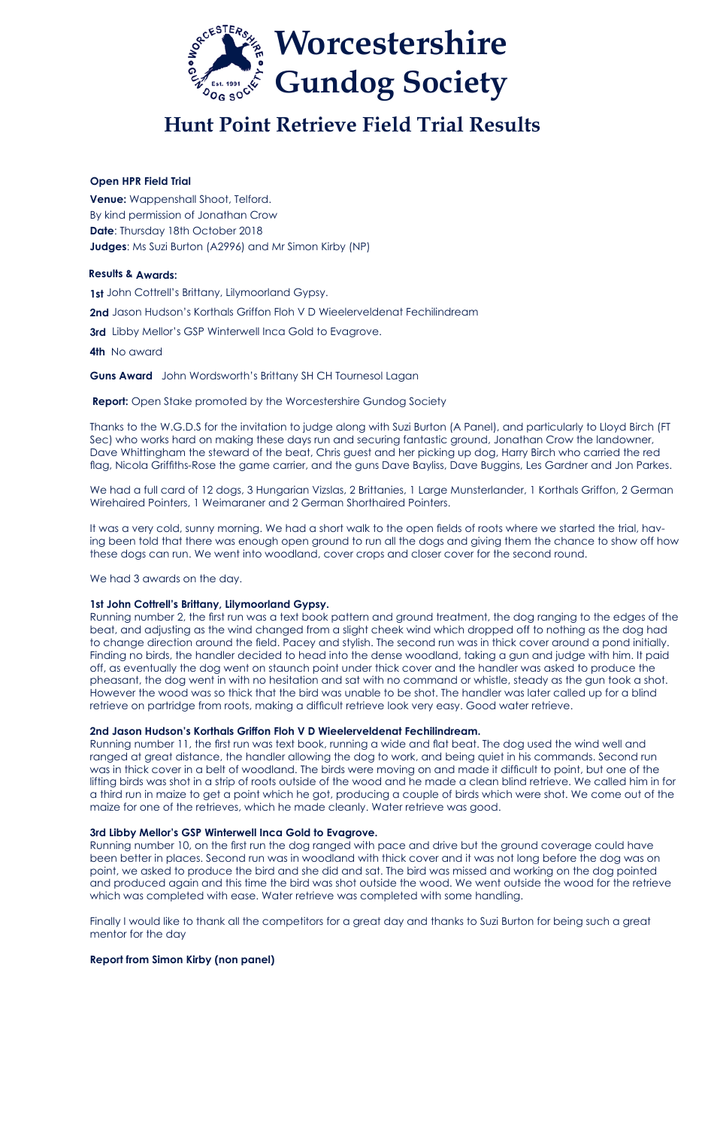

## **Hunt Point Retrieve Field Trial Results**

### **Open HPR Field Trial**

**Venue:** Wappenshall Shoot, Telford. By kind permission of Jonathan Crow **Date**: Thursday 18th October 2018 **Judges**: Ms Suzi Burton (A2996) and Mr Simon Kirby (NP)

1st John Cottrell's Brittany, Lilymoorland Gypsy. **2nd** Jason Hudson's Korthals Griffon Floh V D Wieelerveldenat Fechilindream **3rd** Libby Mellor's GSP Winterwell Inca Gold to Evagrove. **4th** No award

## **Results & Awards:**

**Guns Award** John Wordsworth's Brittany SH CH Tournesol Lagan

**Report:** Open Stake promoted by the Worcestershire Gundog Society

Thanks to the W.G.D.S for the invitation to judge along with Suzi Burton (A Panel), and particularly to Lloyd Birch (FT Sec) who works hard on making these days run and securing fantastic ground, Jonathan Crow the landowner, Dave Whittingham the steward of the beat, Chris guest and her picking up dog, Harry Birch who carried the red flag, Nicola Griffiths-Rose the game carrier, and the guns Dave Bayliss, Dave Buggins, Les Gardner and Jon Parkes.

We had a full card of 12 dogs, 3 Hungarian Vizslas, 2 Brittanies, 1 Large Munsterlander, 1 Korthals Griffon, 2 German Wirehaired Pointers, 1 Weimaraner and 2 German Shorthaired Pointers.

It was a very cold, sunny morning. We had a short walk to the open fields of roots where we started the trial, having been told that there was enough open ground to run all the dogs and giving them the chance to show off how these dogs can run. We went into woodland, cover crops and closer cover for the second round.

We had 3 awards on the day.

### **1st John Cottrell's Brittany, Lilymoorland Gypsy.**

Running number 2, the first run was a text book pattern and ground treatment, the dog ranging to the edges of the beat, and adjusting as the wind changed from a slight cheek wind which dropped off to nothing as the dog had to change direction around the field. Pacey and stylish. The second run was in thick cover around a pond initially. Finding no birds, the handler decided to head into the dense woodland, taking a gun and judge with him. It paid off, as eventually the dog went on staunch point under thick cover and the handler was asked to produce the pheasant, the dog went in with no hesitation and sat with no command or whistle, steady as the gun took a shot. However the wood was so thick that the bird was unable to be shot. The handler was later called up for a blind retrieve on partridge from roots, making a difficult retrieve look very easy. Good water retrieve.

### **2nd Jason Hudson's Korthals Griffon Floh V D Wieelerveldenat Fechilindream.**

Running number 11, the first run was text book, running a wide and flat beat. The dog used the wind well and ranged at great distance, the handler allowing the dog to work, and being quiet in his commands. Second run was in thick cover in a belt of woodland. The birds were moving on and made it difficult to point, but one of the lifting birds was shot in a strip of roots outside of the wood and he made a clean blind retrieve. We called him in for a third run in maize to get a point which he got, producing a couple of birds which were shot. We come out of the maize for one of the retrieves, which he made cleanly. Water retrieve was good.

#### **3rd Libby Mellor's GSP Winterwell Inca Gold to Evagrove.**

Running number 10, on the first run the dog ranged with pace and drive but the ground coverage could have been better in places. Second run was in woodland with thick cover and it was not long before the dog was on point, we asked to produce the bird and she did and sat. The bird was missed and working on the dog pointed and produced again and this time the bird was shot outside the wood. We went outside the wood for the retrieve which was completed with ease. Water retrieve was completed with some handling.

Finally I would like to thank all the competitors for a great day and thanks to Suzi Burton for being such a great mentor for the day

#### **Report from Simon Kirby (non panel)**